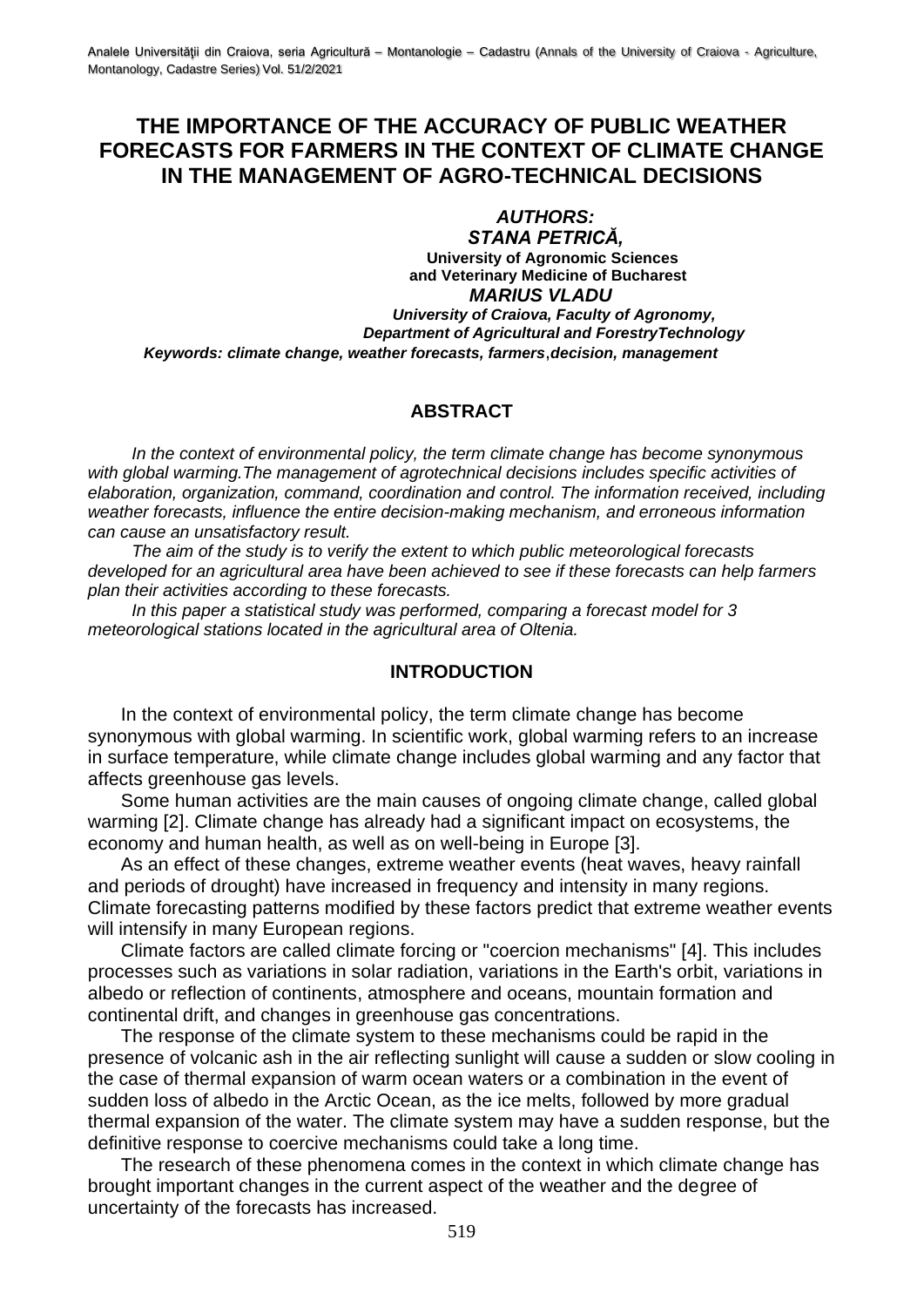# **THE IMPORTANCE OF THE ACCURACY OF PUBLIC WEATHER FORECASTS FOR FARMERS IN THE CONTEXT OF CLIMATE CHANGE IN THE MANAGEMENT OF AGRO-TECHNICAL DECISIONS**

*AUTHORS: STANA PETRICĂ,*  **University of Agronomic Sciences and Veterinary Medicine of Bucharest**  *MARIUS VLADU University of Craiova, Faculty of Agronomy, Department of Agricultural and ForestryTechnology Keywords: climate change, weather forecasts, farmers*,*decision, management*

## **ABSTRACT**

*In the context of environmental policy, the term climate change has become synonymous with global warming.The management of agrotechnical decisions includes specific activities of elaboration, organization, command, coordination and control. The information received, including weather forecasts, influence the entire decision-making mechanism, and erroneous information can cause an unsatisfactory result.*

*The aim of the study is to verify the extent to which public meteorological forecasts developed for an agricultural area have been achieved to see if these forecasts can help farmers plan their activities according to these forecasts.*

*In this paper a statistical study was performed, comparing a forecast model for 3 meteorological stations located in the agricultural area of Oltenia.*

## **INTRODUCTION**

In the context of environmental policy, the term climate change has become synonymous with global warming. In scientific work, global warming refers to an increase in surface temperature, while climate change includes global warming and any factor that affects greenhouse gas levels.

Some human activities are the main causes of ongoing climate change, called global warming [2]. Climate change has already had a significant impact on ecosystems, the economy and human health, as well as on well-being in Europe [3].

As an effect of these changes, extreme weather events (heat waves, heavy rainfall and periods of drought) have increased in frequency and intensity in many regions. Climate forecasting patterns modified by these factors predict that extreme weather events will intensify in many European regions.

Climate factors are called climate forcing or "coercion mechanisms" [4]. This includes processes such as variations in solar radiation, variations in the Earth's orbit, variations in albedo or reflection of continents, atmosphere and oceans, mountain formation and continental drift, and changes in greenhouse gas concentrations.

The response of the climate system to these mechanisms could be rapid in the presence of volcanic ash in the air reflecting sunlight will cause a sudden or slow cooling in the case of thermal expansion of warm ocean waters or a combination in the event of sudden loss of albedo in the Arctic Ocean, as the ice melts, followed by more gradual thermal expansion of the water. The climate system may have a sudden response, but the definitive response to coercive mechanisms could take a long time.

The research of these phenomena comes in the context in which climate change has brought important changes in the current aspect of the weather and the degree of uncertainty of the forecasts has increased.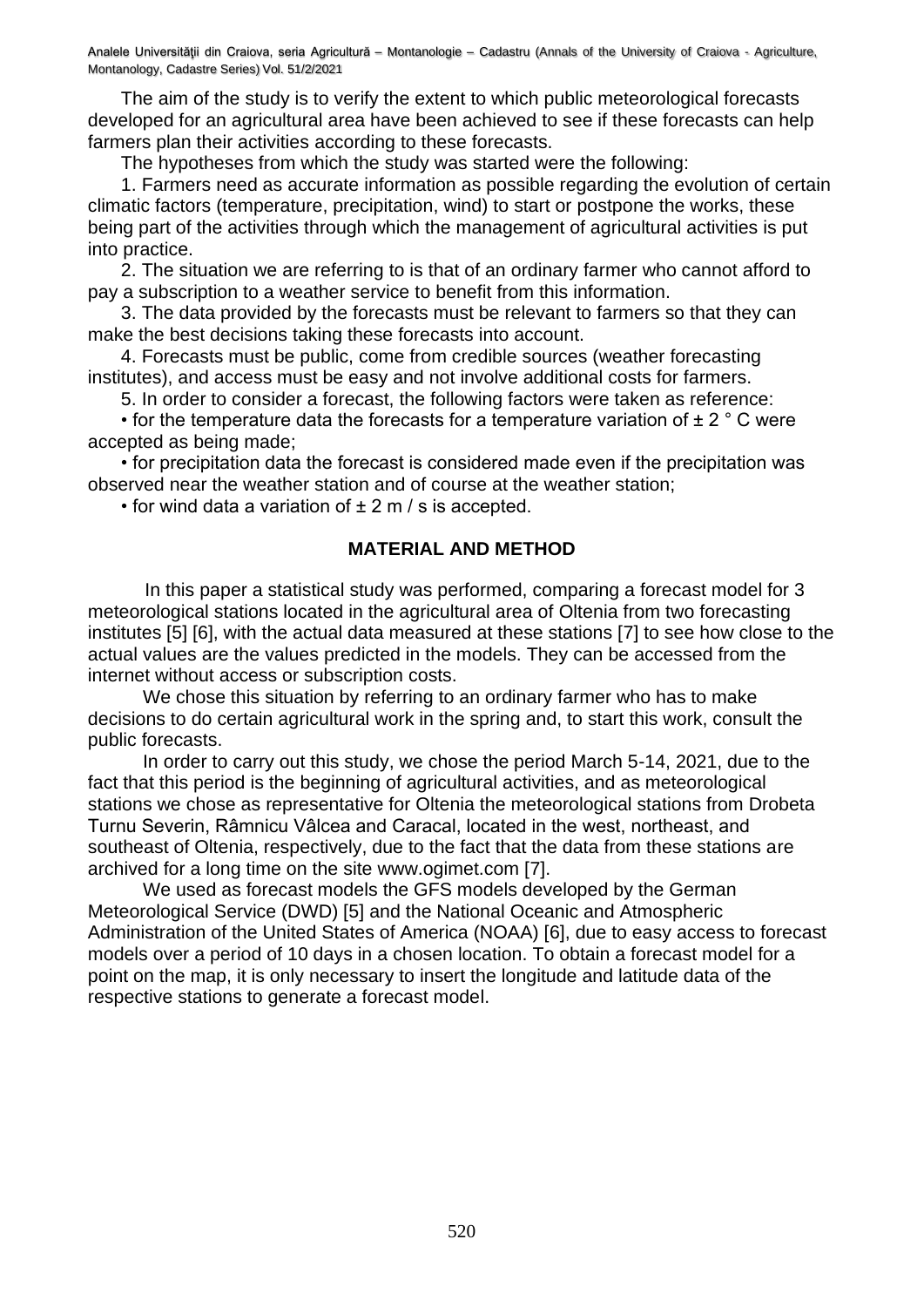The aim of the study is to verify the extent to which public meteorological forecasts developed for an agricultural area have been achieved to see if these forecasts can help farmers plan their activities according to these forecasts.

The hypotheses from which the study was started were the following:

1. Farmers need as accurate information as possible regarding the evolution of certain climatic factors (temperature, precipitation, wind) to start or postpone the works, these being part of the activities through which the management of agricultural activities is put into practice.

2. The situation we are referring to is that of an ordinary farmer who cannot afford to pay a subscription to a weather service to benefit from this information.

3. The data provided by the forecasts must be relevant to farmers so that they can make the best decisions taking these forecasts into account.

4. Forecasts must be public, come from credible sources (weather forecasting institutes), and access must be easy and not involve additional costs for farmers.

5. In order to consider a forecast, the following factors were taken as reference:

• for the temperature data the forecasts for a temperature variation of  $\pm 2$  ° C were accepted as being made;

• for precipitation data the forecast is considered made even if the precipitation was observed near the weather station and of course at the weather station;

• for wind data a variation of  $\pm$  2 m / s is accepted.

#### **MATERIAL AND METHOD**

 In this paper a statistical study was performed, comparing a forecast model for 3 meteorological stations located in the agricultural area of Oltenia from two forecasting institutes [5] [6], with the actual data measured at these stations [7] to see how close to the actual values are the values predicted in the models. They can be accessed from the internet without access or subscription costs.

We chose this situation by referring to an ordinary farmer who has to make decisions to do certain agricultural work in the spring and, to start this work, consult the public forecasts.

In order to carry out this study, we chose the period March 5-14, 2021, due to the fact that this period is the beginning of agricultural activities, and as meteorological stations we chose as representative for Oltenia the meteorological stations from Drobeta Turnu Severin, Râmnicu Vâlcea and Caracal, located in the west, northeast, and southeast of Oltenia, respectively, due to the fact that the data from these stations are archived for a long time on the site www.ogimet.com [7].

We used as forecast models the GFS models developed by the German Meteorological Service (DWD) [5] and the National Oceanic and Atmospheric Administration of the United States of America (NOAA) [6], due to easy access to forecast models over a period of 10 days in a chosen location. To obtain a forecast model for a point on the map, it is only necessary to insert the longitude and latitude data of the respective stations to generate a forecast model.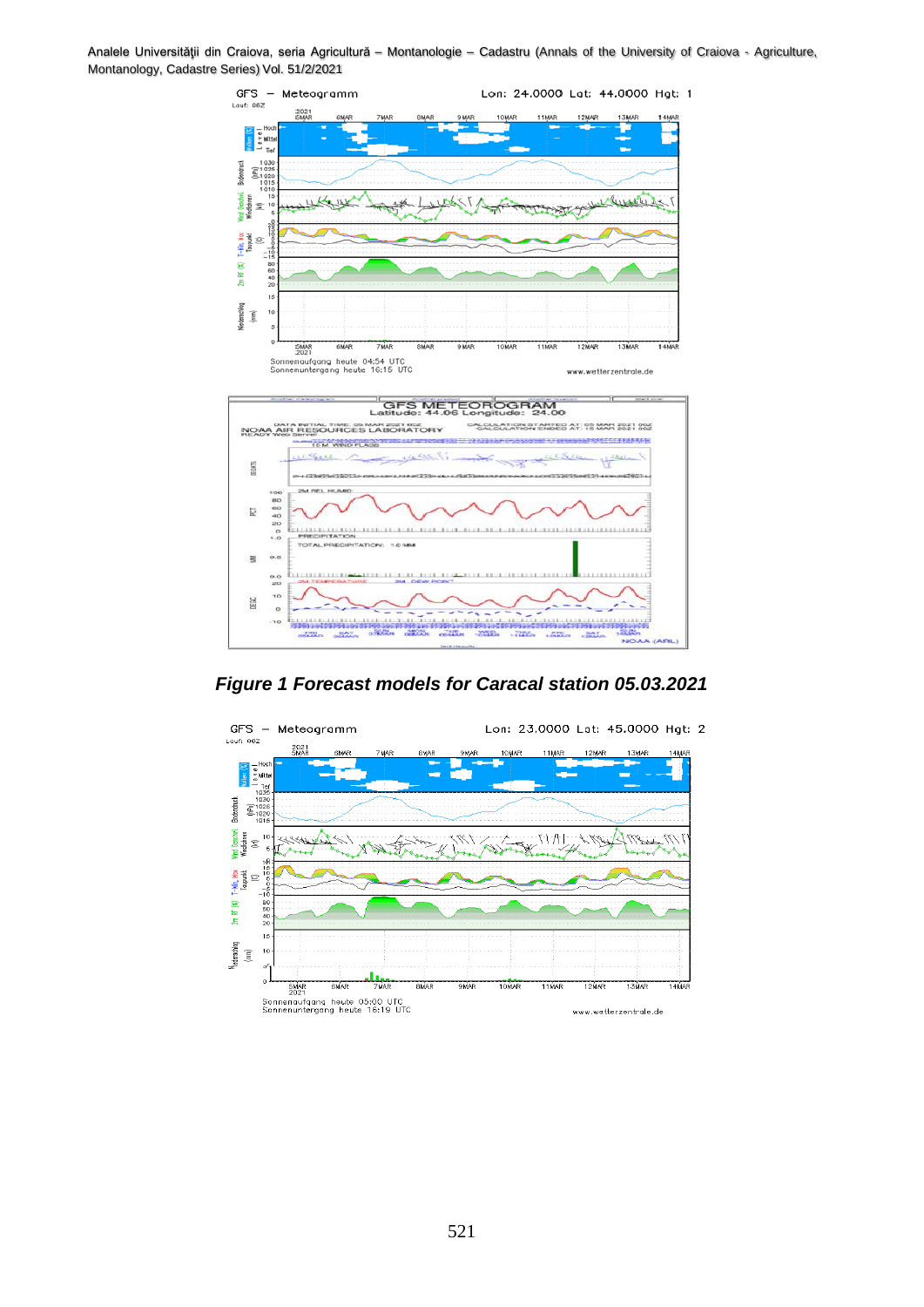

*Figure 1 Forecast models for Caracal station 05.03.2021*

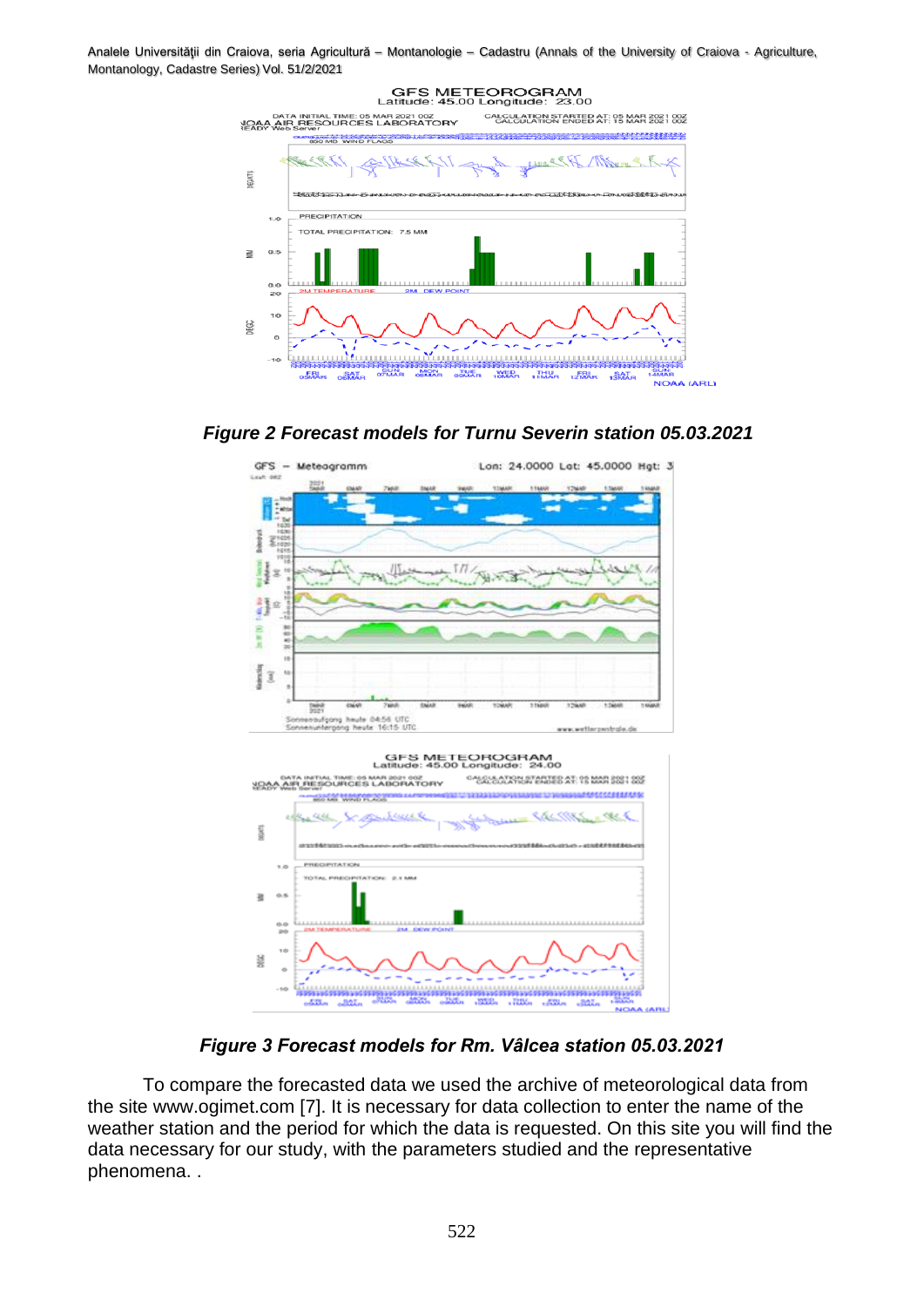





*Figure 3 Forecast models for Rm. Vâlcea station 05.03.2021*

To compare the forecasted data we used the archive of meteorological data from the site www.ogimet.com [7]. It is necessary for data collection to enter the name of the weather station and the period for which the data is requested. On this site you will find the data necessary for our study, with the parameters studied and the representative phenomena. .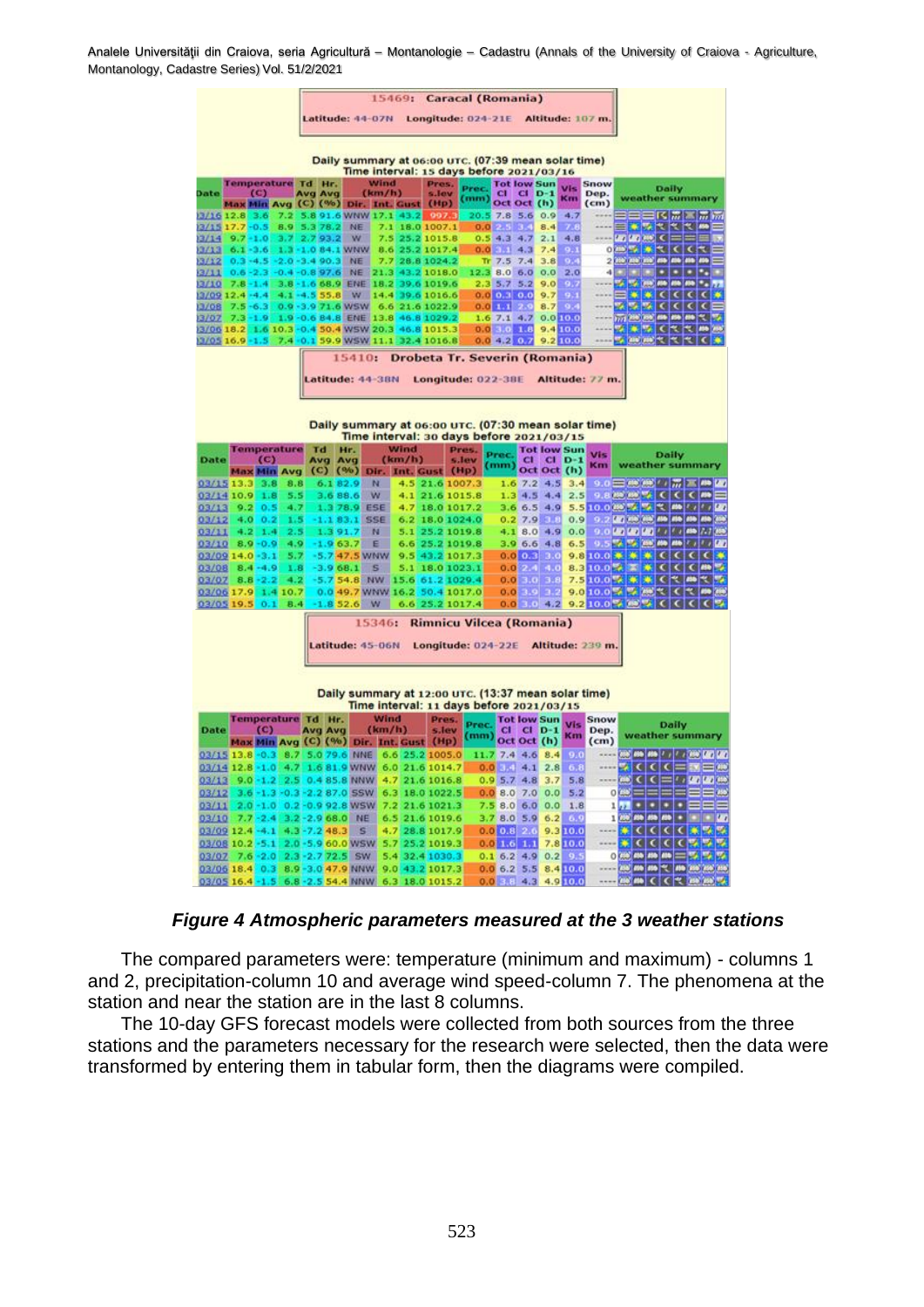| 15469:<br>Caracal (Romania)<br>Latitude: 44-07N Longitude: 024-21E<br>Altitude: 107 m.                          |                                                               |                                    |                                           |                        |                                                                                                                                                                                                                                                                                                                                    |
|-----------------------------------------------------------------------------------------------------------------|---------------------------------------------------------------|------------------------------------|-------------------------------------------|------------------------|------------------------------------------------------------------------------------------------------------------------------------------------------------------------------------------------------------------------------------------------------------------------------------------------------------------------------------|
|                                                                                                                 |                                                               |                                    |                                           |                        |                                                                                                                                                                                                                                                                                                                                    |
| Daily summary at 06:00 UTC. (07:39 mean solar time)<br>Time interval: 15 days before 2021/03/16                 |                                                               |                                    |                                           |                        |                                                                                                                                                                                                                                                                                                                                    |
| Temperature Td Hr.<br>Date<br>(C)<br><b>Avg Avg</b>                                                             | Wind<br>(km/h)                                                | Pres.<br>s.lev                     | Prec. Tot low Sun Vis<br>$CI$ $CI$ $D-1$  | Km                     | Snow<br>Daily<br>Dep.<br>weather summary                                                                                                                                                                                                                                                                                           |
| Max Min Avg (C) (%) Dir. Int. Gust (Hp)<br>7.2 5.8 91.6 WNW 17.1 43.2 997.3<br>3/16 12.8 3.6                    |                                                               |                                    | $(mm)$ oct oct $(h)$<br>7.8 5.6<br>0.9    | 4.7                    | (cm)<br>自由目K[流离]流 <i>流</i>                                                                                                                                                                                                                                                                                                         |
| 13/15 17.7 - 0.5 8.9 5.3 78.2 NE<br>$3/14$ 9.7-1.0<br>2.793.2 W<br>3.7                                          | 7.1 18.0 1007.1<br>7.5 25.2 1015.8                            | 0,0.2.                             | 8,4<br>0.54.34.7                          | $2.1 - 4.8$            | <b>EXXXXX</b><br><b>MORE CEEE</b>                                                                                                                                                                                                                                                                                                  |
| 3/13<br>1.3-1.0 84.1 WNW<br>$6.1 - 3.6$<br>3/12<br>$0.3 - 4.5$<br>$-2.0 - 3.4$ 90.3 NE                          | 8.6 25.2 1017.4<br>7.7 28.8 1024.2                            |                                    | $0.0$ 3.1 4.3<br>7,4<br>Tr 7.5 7.4<br>3.8 |                        | $0 \leq k \leq k$<br>400 400 400 400 400 400                                                                                                                                                                                                                                                                                       |
| 3/11<br>$0.6 - 2.3$<br>$-0.4 - 0.8$ 97.6 NE 21.3 43.2 1018.0                                                    |                                                               |                                    | 12.3 8.0 6.0<br>0.0                       | 2.0                    | 4 <b>EUROPES CE CE CE C</b>                                                                                                                                                                                                                                                                                                        |
| 7.8-1.4 3.8-1.6 68.9 ENE 18.2 39.6 1019.6<br>3/10<br>13/09 12.4 -4.4 4.1 -4.5 55.8 W 14.4 39.6 1016.6           |                                                               |                                    | 2.35.75.2<br>$0.0$ 0.3 0.0<br>9.7         | $9.0 - 2.7$<br>9.1     | $7.7$ $\frac{1}{2}$ $\frac{1}{2}$ $\frac{1}{2}$ $\frac{1}{2}$ $\frac{1}{2}$ $\frac{1}{2}$ $\frac{1}{2}$ $\frac{1}{2}$ $\frac{1}{2}$ $\frac{1}{2}$ $\frac{1}{2}$ $\frac{1}{2}$ $\frac{1}{2}$ $\frac{1}{2}$ $\frac{1}{2}$ $\frac{1}{2}$ $\frac{1}{2}$ $\frac{1}{2}$ $\frac{1}{2}$ $\frac{1}{2}$ $\frac{1}{2}$ $\frac{1$<br>□★★くくくく ※ |
| $7.5 - 6.3$<br>0.9 - 3.9 71.6 WSW 6.6 21.6 1022.9<br>3/08<br>7.3-1.9 1.9-0.6 84.8 ENE 13.8 46.8 1029.2<br>13/07 |                                                               |                                    | 0.01.12.9<br>$1.6$ 7.1 4.7                | $8.7 - 0.1$<br>0.010.0 | 家際隊 ひくくと<br>Ford 250 250 400 400 400 <sup>40</sup>                                                                                                                                                                                                                                                                                 |
| 3/06 18.2 1.6 10.3 - 0.4 50.4 WSW 20.3 46.8 1015.3<br>13/05 16.9 - 1.5 7.4 0.1 59.9 WSW 11.1 32.4 1016.8        |                                                               |                                    | 0.03.01.8<br>0.04.20.7                    | 9.410.0                | ※ 米 ズ くくて (熱)<br>「地震の 大 て て て                                                                                                                                                                                                                                                                                                      |
| 9.210.0<br>15410<br>Drobeta Tr. Severin (Romania)                                                               |                                                               |                                    |                                           |                        |                                                                                                                                                                                                                                                                                                                                    |
| Longitude: 022-38E Altitude: 77 m.<br>Latitude: 44-38N                                                          |                                                               |                                    |                                           |                        |                                                                                                                                                                                                                                                                                                                                    |
|                                                                                                                 |                                                               |                                    |                                           |                        |                                                                                                                                                                                                                                                                                                                                    |
|                                                                                                                 |                                                               |                                    |                                           |                        |                                                                                                                                                                                                                                                                                                                                    |
| Daily summary at 06:00 UTC. (07:30 mean solar time)<br>Time interval: 30 days before 2021/03/15                 |                                                               |                                    |                                           |                        |                                                                                                                                                                                                                                                                                                                                    |
| <b>Wind</b><br>Temperature<br>Td.<br>Hr.<br>Prec. Tot low Sun Vis<br>Pres.<br>Daily                             |                                                               |                                    |                                           |                        |                                                                                                                                                                                                                                                                                                                                    |
| Date<br>(C)<br>Avg Avg<br><b>Max Min Avg</b>                                                                    | (km/h)<br>(C) (%) Dir. Int. Gust (Hp)                         | s.lev                              | $CI$ $CI$ $D-1$<br>(mm) oct oct (h)       |                        | Km<br>weather summary                                                                                                                                                                                                                                                                                                              |
| 03/15 13.3 3.8<br>8.8<br>$6.182.9$ N<br>03/14 10.9 1.8<br>5.5<br>3.6 88.6 W                                     |                                                               | 4.5 21.6 1007.3<br>4.1 21.6 1015.8 | $1.6$ 7.2 4.5<br>1.34.54.4                | 3,4<br>2.5             | $9.0 \equiv 0.02$ $\left  \frac{1}{100} \right  2.0$<br>9.8 (8) (8) (8) (8) (8) (8) (8) (8)                                                                                                                                                                                                                                        |
| 03/13<br>0.5<br>4.7<br>1.3 78.9 ESE<br>9.2 <sub>1</sub>                                                         | 4.7                                                           | 18.0 1017.2                        | 3.6, 6.5, 4.9                             |                        | 5.5 10.0 BS 2 2 40 / / / / DO                                                                                                                                                                                                                                                                                                      |
| 03/12<br>4.0<br>0.2<br>1.5<br>$-1.183.1$ SSE<br>03/11<br>1.4<br>2.5<br>1.391.7 N<br>4.2                         |                                                               | 6.2 18.0 1024.0<br>5.1 25.2 1019.8 | $0.27.9$ 0.0<br>4.1 8.0 4.9               | 0,9<br>0.0             | 0.2 (87 FB) (88 FB) (88 FB) (88 FB)<br>9.0 00 00 00 1 1 1 1 1 80 7.7 89                                                                                                                                                                                                                                                            |
| $8.9 - 0.9$<br>4.9<br>03/10<br>1.963.7 E<br>03/09 14.0 - 3.1<br>5.7<br>5.7 47.5 WNW                             |                                                               | 6.6 25.2 1019.8<br>9.5 43.2 1017.3 | 3.96.64.8<br>0.0 0.3 3.0                  |                        | 6.5 9.5 % FS 26 Mb 40 1 / / / 20<br>9.8 10.0 * * * CCCC                                                                                                                                                                                                                                                                            |
| $8.4 - 4.9$<br>$-3.968.1$ S<br>03/08<br>1.8                                                                     |                                                               | 5.1 18.0 1023.1                    | 0.02.4<br>4.0                             |                        | 8.3 10.0 米 素 C C C 四                                                                                                                                                                                                                                                                                                               |
| $8.8 - 2.2$<br>$-4.2$<br>03/07<br>03/06 17.9<br>1.4 10.7                                                        | 5.7 54.8 NW 15.6 61.2 1029.4<br>0.0 49.7 WNW 16.2 50.4 1017.0 |                                    | 0.03.03.8<br>3.2<br>0,0,3,9               |                        | 7.5 10.0 米 米 くて めく 法<br>9.0 10.0 番尾圏にくて   画面                                                                                                                                                                                                                                                                                       |
| 03/05 19.5<br>$-1.852.6$ W<br>0.1 B.4                                                                           |                                                               | 6.6 25.2 1017.4                    |                                           |                        | 0.0 3.0 4.2 9.2 10.0 2 3 4 C C C                                                                                                                                                                                                                                                                                                   |
| Rimnicu Vilcea (Romania)<br>15346:                                                                              |                                                               |                                    |                                           |                        |                                                                                                                                                                                                                                                                                                                                    |
| Latitude: 45-06N<br>Longitude: 024-22E Altitude: 239 m.                                                         |                                                               |                                    |                                           |                        |                                                                                                                                                                                                                                                                                                                                    |
|                                                                                                                 |                                                               |                                    |                                           |                        |                                                                                                                                                                                                                                                                                                                                    |
| Daily summary at 12:00 UTC. (13:37 mean solar time)<br>Time interval: 11 days before 2021/03/15                 |                                                               |                                    |                                           |                        |                                                                                                                                                                                                                                                                                                                                    |
| Temperature Td Hr.<br><b>Date</b><br>ю                                                                          | <b>Wind</b><br>(km/h)                                         | Pres.<br>Prec.                     | <b>Tot low Sun</b>                        | <b>Vis</b>             | Snow<br>Daily                                                                                                                                                                                                                                                                                                                      |
| Avg Avg<br>Max Min Avg (C) (%) Dir. Int. Gust (Hp)                                                              |                                                               | s.lev<br>(mm)                      | $CI$ $CI$ $D-1$<br>Oct Oct (h)            | Km                     | Dep.<br>weather summary<br>(cm)                                                                                                                                                                                                                                                                                                    |
| 03/15 13.8 -0.3 8.7 5.0 79.6 NNE 6.6 25.2 1005.0<br>03/14 12.8<br>4.7<br>$-1.0$                                 | 1.6 81.9 WNW 6.0 21.6 1014.7                                  |                                    | 11.7 7.4 4.6<br>8,4<br>0.03.44.1<br>2.8   | 9.0<br>6,1             | <b>REAL ASS (495) 1 / 2590 (ADD (ADD</b><br>裂くく くう 高田道                                                                                                                                                                                                                                                                             |
| 2.5<br>0.4 85.8 NNW<br>03/13<br>9.0<br>$-1.2$                                                                   | 4.7<br>21.6 1016.8                                            |                                    | 0.95.74.8<br>3.7                          | 5.8                    |                                                                                                                                                                                                                                                                                                                                    |
| 03/12<br>$-0.3 - 2.287.0$ SSW<br>3.6<br>$-1.3$<br>$0.2 - 0.992.8$ WSW<br>03/11<br>2.0<br>$-1.0$                 | 6.3<br>18.0 1022.5<br>7.2<br>21.6 1021.3                      |                                    | 0.08.07.0<br>0.0<br>7.5 8.0 6.0<br>0.0    | 5.2<br>1.8             | 0 #3 = = = = = = = #<br>$1/7$ . $1/7$ . $1/7$                                                                                                                                                                                                                                                                                      |
| 03/10<br>2.4<br>$3.2 - 2.968.0$ NE<br>7.7                                                                       | 6.5 21.6 1019.6                                               |                                    | 3.7 8.0 5.9<br>6.2                        | 6.9                    | $195$ $45$ $45$ $45$ $45$ $-$<br><b>Li</b>                                                                                                                                                                                                                                                                                         |
| 03/09 12.4<br>$-4.1$<br>$4.3 - 7.2$ $48.3$ S<br>03/08 10.2 -5.1<br>2.0 - 5.9 60.0 WSW 5.7 25.2 1019.3           | 4.7 28.8 1017.9                                               |                                    | $0.0$ 0.8 2.6<br>$0.0$ 1.6 1.1            | 9.310.0<br>7.8 10.0    | ■■ * くくくく * 系 厚<br>$\mathbb{E}[C] \subseteq C$                                                                                                                                                                                                                                                                                     |
| 03/07 7.6 - 2.0 2.3 - 2.7 72.5 SW                                                                               | 5.4 32.4 1030.3                                               |                                    | 0.16.24.9                                 | $0.2 - 9.5$            | $\sim$ 300 $\mu$ 30 $\mu$ 30 $\mu$ 30 $\mu$ 30 $\mu$                                                                                                                                                                                                                                                                               |
| 03/06 18.4 0.3 8.9 - 3.0 47.9 NNW 9.0 43.2 1017.3<br>03/05 16.4 -1.5 6.8 -2.5 54.4 NNW 6.3 18.0 1015.2          |                                                               |                                    | 0.06.25.5<br>$0.0$ 3.8 4.3 4.9 10.0       | 8.4 10.0               | 250 250 250 450 450 250 250<br><b>200 80 CC C 200 80 TA</b>                                                                                                                                                                                                                                                                        |

*Figure 4 Atmospheric parameters measured at the 3 weather stations*

The compared parameters were: temperature (minimum and maximum) - columns 1 and 2, precipitation-column 10 and average wind speed-column 7. The phenomena at the station and near the station are in the last 8 columns.

The 10-day GFS forecast models were collected from both sources from the three stations and the parameters necessary for the research were selected, then the data were transformed by entering them in tabular form, then the diagrams were compiled.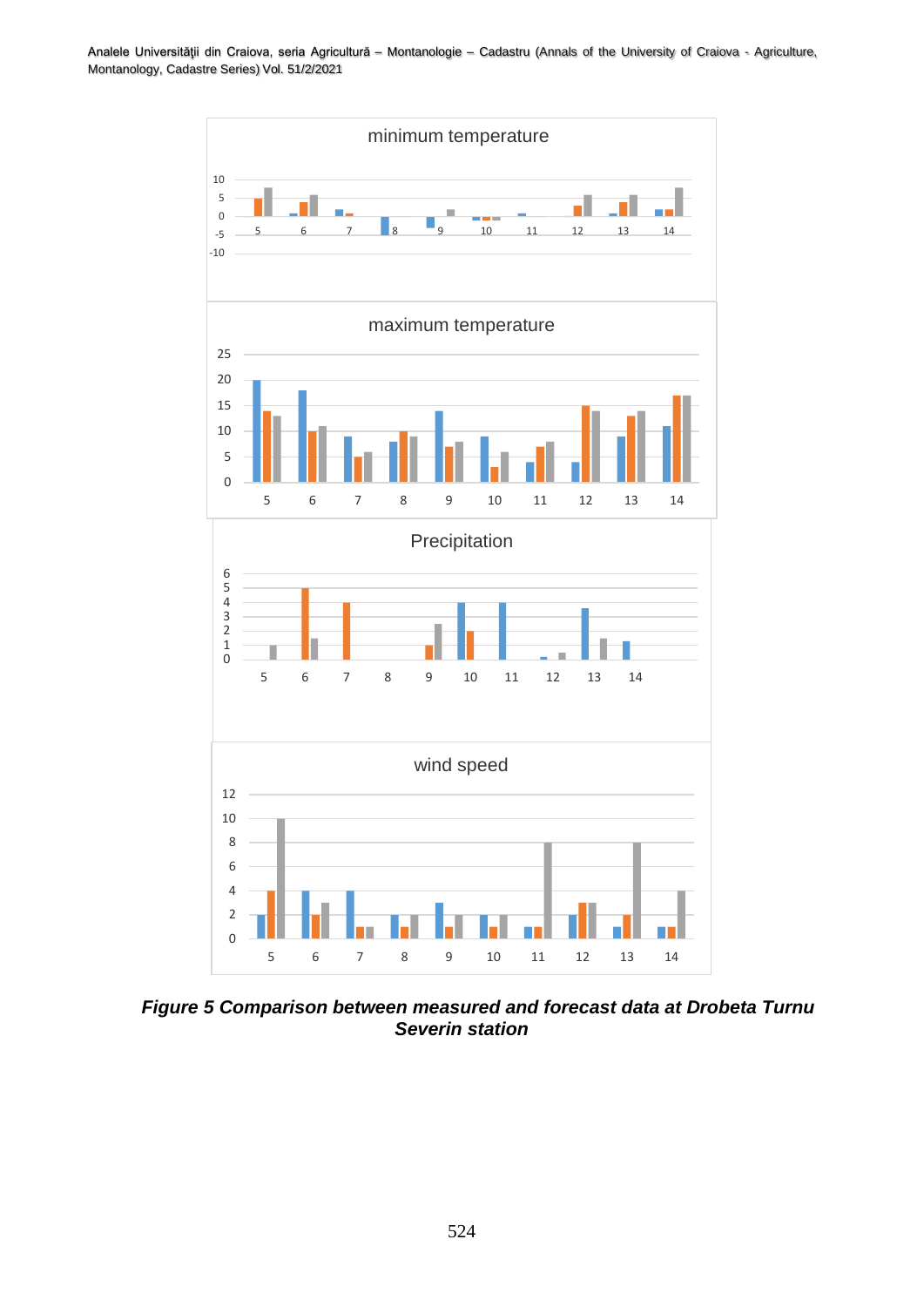

*Figure 5 Comparison between measured and forecast data at Drobeta Turnu Severin station*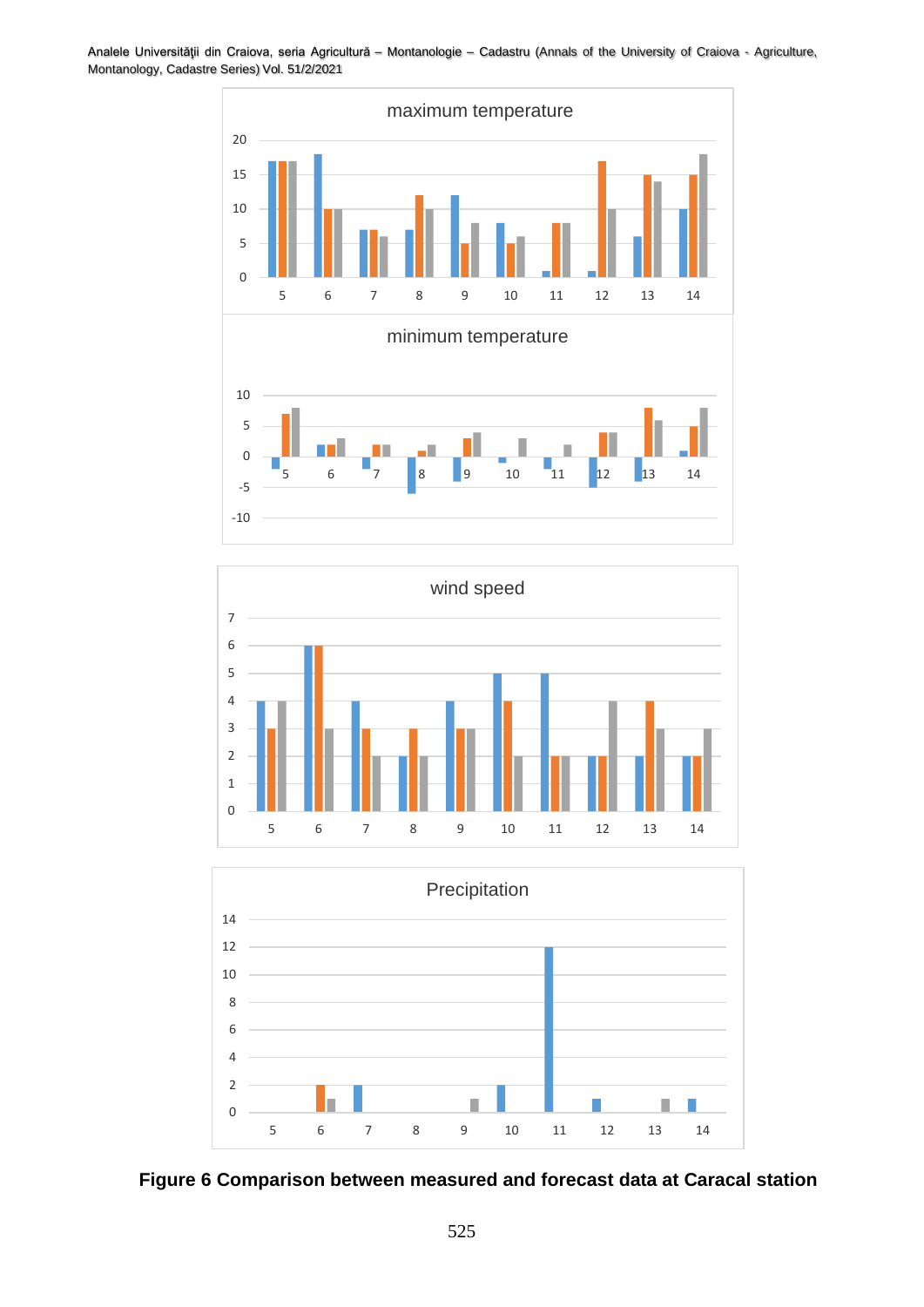





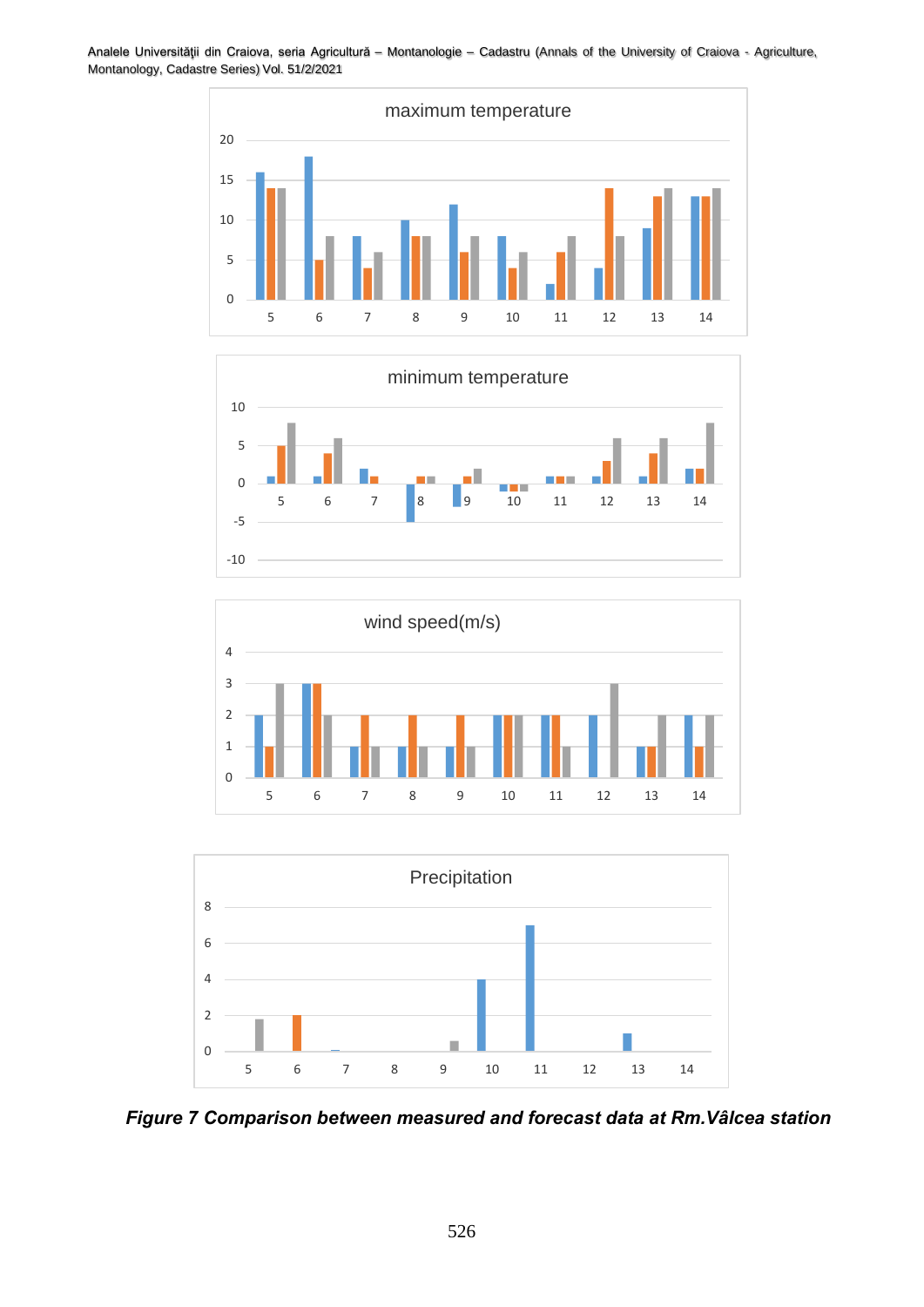Analele Universităţii din Craiova, seria Agricultură – Montanologie – Cadastru (Annals of the University of Craiova - Agriculture, Montanology, Cadastre Series) Vol. 51/2/2021









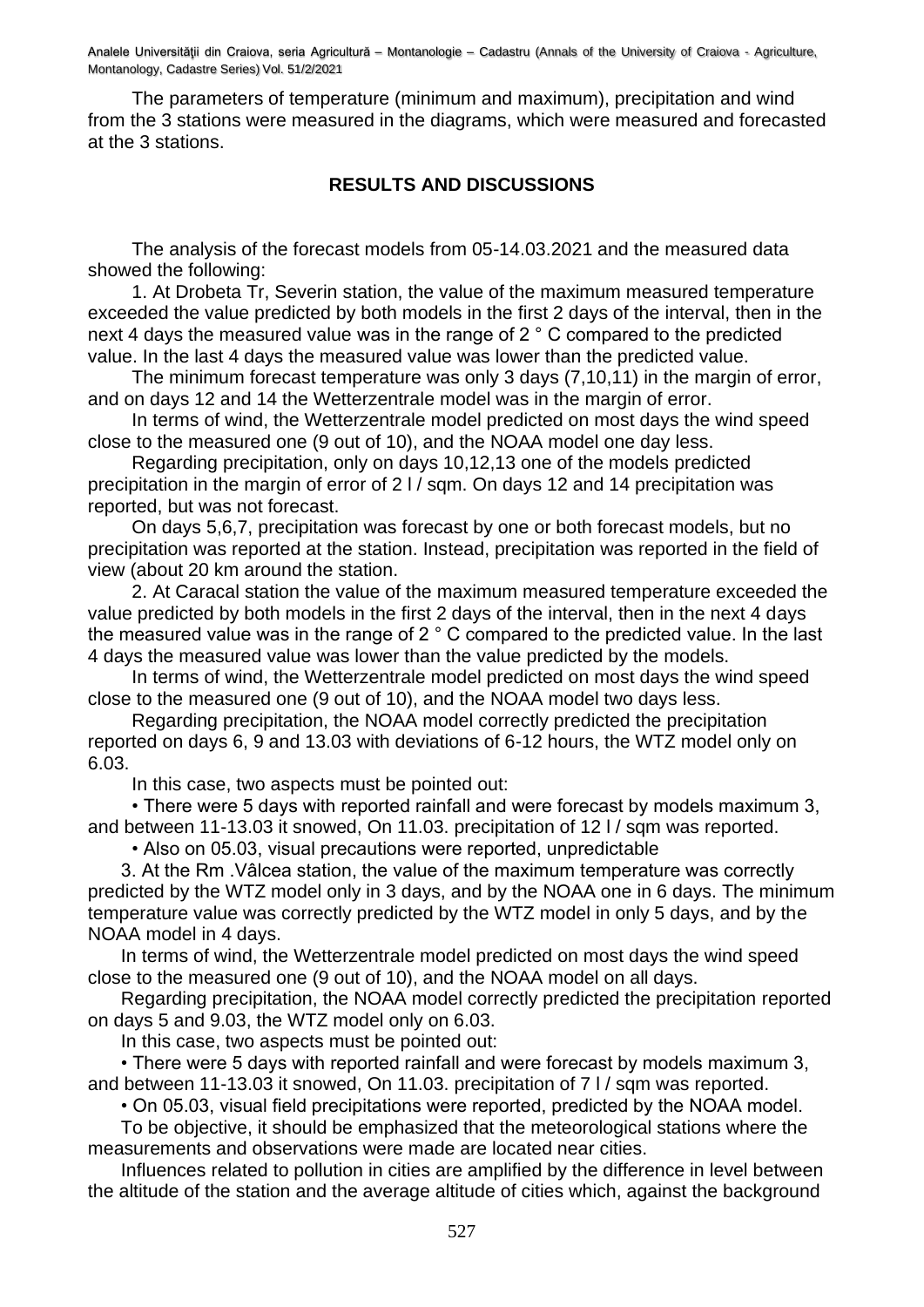The parameters of temperature (minimum and maximum), precipitation and wind from the 3 stations were measured in the diagrams, which were measured and forecasted at the 3 stations.

#### **RESULTS AND DISCUSSIONS**

The analysis of the forecast models from 05-14.03.2021 and the measured data showed the following:

1. At Drobeta Tr, Severin station, the value of the maximum measured temperature exceeded the value predicted by both models in the first 2 days of the interval, then in the next 4 days the measured value was in the range of 2 ° C compared to the predicted value. In the last 4 days the measured value was lower than the predicted value.

The minimum forecast temperature was only 3 days (7,10,11) in the margin of error, and on days 12 and 14 the Wetterzentrale model was in the margin of error.

In terms of wind, the Wetterzentrale model predicted on most days the wind speed close to the measured one (9 out of 10), and the NOAA model one day less.

Regarding precipitation, only on days 10,12,13 one of the models predicted precipitation in the margin of error of 2 l / sqm. On days 12 and 14 precipitation was reported, but was not forecast.

On days 5,6,7, precipitation was forecast by one or both forecast models, but no precipitation was reported at the station. Instead, precipitation was reported in the field of view (about 20 km around the station.

2. At Caracal station the value of the maximum measured temperature exceeded the value predicted by both models in the first 2 days of the interval, then in the next 4 days the measured value was in the range of 2 ° C compared to the predicted value. In the last 4 days the measured value was lower than the value predicted by the models.

In terms of wind, the Wetterzentrale model predicted on most days the wind speed close to the measured one (9 out of 10), and the NOAA model two days less.

Regarding precipitation, the NOAA model correctly predicted the precipitation reported on days 6, 9 and 13.03 with deviations of 6-12 hours, the WTZ model only on 6.03.

In this case, two aspects must be pointed out:

• There were 5 days with reported rainfall and were forecast by models maximum 3, and between 11-13.03 it snowed, On 11.03. precipitation of 12 l / sqm was reported.

• Also on 05.03, visual precautions were reported, unpredictable

3. At the Rm .Vâlcea station, the value of the maximum temperature was correctly predicted by the WTZ model only in 3 days, and by the NOAA one in 6 days. The minimum temperature value was correctly predicted by the WTZ model in only 5 days, and by the NOAA model in 4 days.

In terms of wind, the Wetterzentrale model predicted on most days the wind speed close to the measured one (9 out of 10), and the NOAA model on all days.

Regarding precipitation, the NOAA model correctly predicted the precipitation reported on days 5 and 9.03, the WTZ model only on 6.03.

In this case, two aspects must be pointed out:

• There were 5 days with reported rainfall and were forecast by models maximum 3, and between 11-13.03 it snowed, On 11.03. precipitation of 7 l / sqm was reported.

• On 05.03, visual field precipitations were reported, predicted by the NOAA model.

To be objective, it should be emphasized that the meteorological stations where the measurements and observations were made are located near cities.

Influences related to pollution in cities are amplified by the difference in level between the altitude of the station and the average altitude of cities which, against the background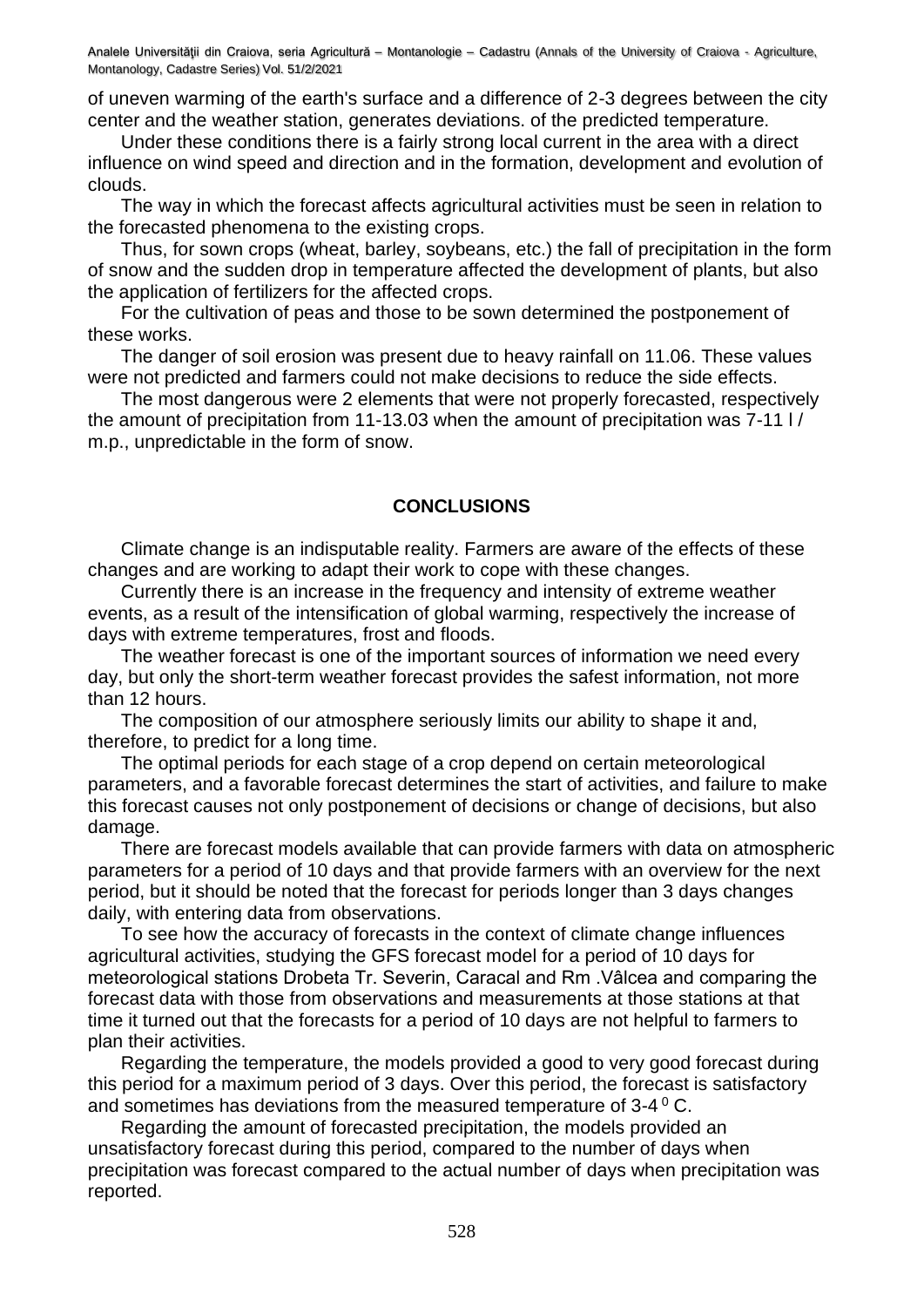of uneven warming of the earth's surface and a difference of 2-3 degrees between the city center and the weather station, generates deviations. of the predicted temperature.

Under these conditions there is a fairly strong local current in the area with a direct influence on wind speed and direction and in the formation, development and evolution of clouds.

The way in which the forecast affects agricultural activities must be seen in relation to the forecasted phenomena to the existing crops.

Thus, for sown crops (wheat, barley, soybeans, etc.) the fall of precipitation in the form of snow and the sudden drop in temperature affected the development of plants, but also the application of fertilizers for the affected crops.

For the cultivation of peas and those to be sown determined the postponement of these works.

The danger of soil erosion was present due to heavy rainfall on 11.06. These values were not predicted and farmers could not make decisions to reduce the side effects.

The most dangerous were 2 elements that were not properly forecasted, respectively the amount of precipitation from 11-13.03 when the amount of precipitation was 7-11 l / m.p., unpredictable in the form of snow.

#### **CONCLUSIONS**

Climate change is an indisputable reality. Farmers are aware of the effects of these changes and are working to adapt their work to cope with these changes.

Currently there is an increase in the frequency and intensity of extreme weather events, as a result of the intensification of global warming, respectively the increase of days with extreme temperatures, frost and floods.

The weather forecast is one of the important sources of information we need every day, but only the short-term weather forecast provides the safest information, not more than 12 hours.

The composition of our atmosphere seriously limits our ability to shape it and, therefore, to predict for a long time.

The optimal periods for each stage of a crop depend on certain meteorological parameters, and a favorable forecast determines the start of activities, and failure to make this forecast causes not only postponement of decisions or change of decisions, but also damage.

There are forecast models available that can provide farmers with data on atmospheric parameters for a period of 10 days and that provide farmers with an overview for the next period, but it should be noted that the forecast for periods longer than 3 days changes daily, with entering data from observations.

To see how the accuracy of forecasts in the context of climate change influences agricultural activities, studying the GFS forecast model for a period of 10 days for meteorological stations Drobeta Tr. Severin, Caracal and Rm .Vâlcea and comparing the forecast data with those from observations and measurements at those stations at that time it turned out that the forecasts for a period of 10 days are not helpful to farmers to plan their activities.

Regarding the temperature, the models provided a good to very good forecast during this period for a maximum period of 3 days. Over this period, the forecast is satisfactory and sometimes has deviations from the measured temperature of  $3-4^{\circ}$  C.

Regarding the amount of forecasted precipitation, the models provided an unsatisfactory forecast during this period, compared to the number of days when precipitation was forecast compared to the actual number of days when precipitation was reported.